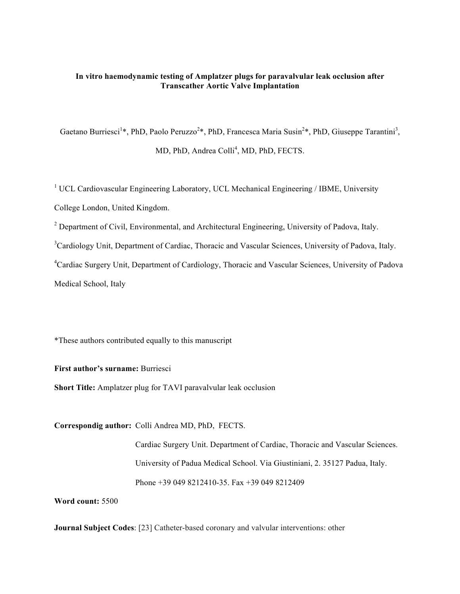# **In vitro haemodynamic testing of Amplatzer plugs for paravalvular leak occlusion after Transcather Aortic Valve Implantation**

Gaetano Burriesci<sup>1\*</sup>, PhD, Paolo Peruzzo<sup>2\*</sup>, PhD, Francesca Maria Susin<sup>2\*</sup>, PhD, Giuseppe Tarantini<sup>3</sup>, MD, PhD, Andrea Colli<sup>4</sup>, MD, PhD, FECTS.

<sup>1</sup> UCL Cardiovascular Engineering Laboratory, UCL Mechanical Engineering / IBME, University College London, United Kingdom.

<sup>2</sup> Department of Civil, Environmental, and Architectural Engineering, University of Padova, Italy.

<sup>3</sup>Cardiology Unit, Department of Cardiac, Thoracic and Vascular Sciences, University of Padova, Italy.

4 Cardiac Surgery Unit, Department of Cardiology, Thoracic and Vascular Sciences, University of Padova Medical School, Italy

\*These authors contributed equally to this manuscript

**First author's surname:** Burriesci

**Short Title:** Amplatzer plug for TAVI paravalvular leak occlusion

**Correspondig author:** Colli Andrea MD, PhD, FECTS.

Cardiac Surgery Unit. Department of Cardiac, Thoracic and Vascular Sciences. University of Padua Medical School. Via Giustiniani, 2. 35127 Padua, Italy. Phone +39 049 8212410-35. Fax +39 049 8212409

**Word count:** 5500

**Journal Subject Codes**: [23] Catheter-based coronary and valvular interventions: other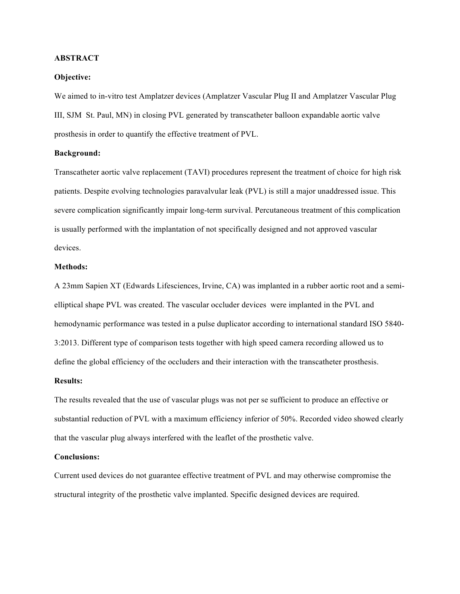## **ABSTRACT**

#### **Objective:**

We aimed to in-vitro test Amplatzer devices (Amplatzer Vascular Plug II and Amplatzer Vascular Plug III, SJM St. Paul, MN) in closing PVL generated by transcatheter balloon expandable aortic valve prosthesis in order to quantify the effective treatment of PVL.

### **Background:**

Transcatheter aortic valve replacement (TAVI) procedures represent the treatment of choice for high risk patients. Despite evolving technologies paravalvular leak (PVL) is still a major unaddressed issue. This severe complication significantly impair long-term survival. Percutaneous treatment of this complication is usually performed with the implantation of not specifically designed and not approved vascular devices.

#### **Methods:**

A 23mm Sapien XT (Edwards Lifesciences, Irvine, CA) was implanted in a rubber aortic root and a semielliptical shape PVL was created. The vascular occluder devices were implanted in the PVL and hemodynamic performance was tested in a pulse duplicator according to international standard ISO 5840- 3:2013. Different type of comparison tests together with high speed camera recording allowed us to define the global efficiency of the occluders and their interaction with the transcatheter prosthesis.

#### **Results:**

The results revealed that the use of vascular plugs was not per se sufficient to produce an effective or substantial reduction of PVL with a maximum efficiency inferior of 50%. Recorded video showed clearly that the vascular plug always interfered with the leaflet of the prosthetic valve.

#### **Conclusions:**

Current used devices do not guarantee effective treatment of PVL and may otherwise compromise the structural integrity of the prosthetic valve implanted. Specific designed devices are required.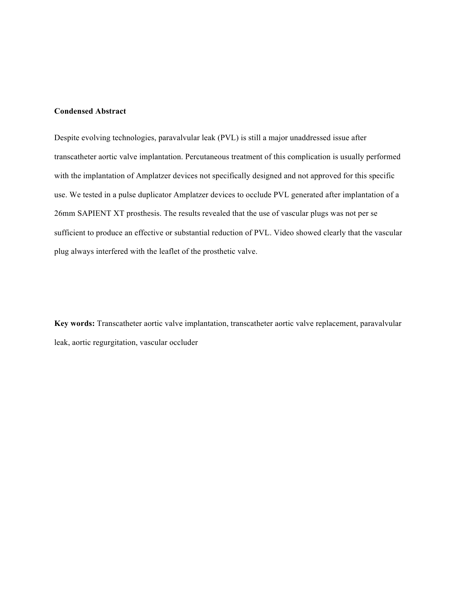## **Condensed Abstract**

Despite evolving technologies, paravalvular leak (PVL) is still a major unaddressed issue after transcatheter aortic valve implantation. Percutaneous treatment of this complication is usually performed with the implantation of Amplatzer devices not specifically designed and not approved for this specific use. We tested in a pulse duplicator Amplatzer devices to occlude PVL generated after implantation of a 26mm SAPIENT XT prosthesis. The results revealed that the use of vascular plugs was not per se sufficient to produce an effective or substantial reduction of PVL. Video showed clearly that the vascular plug always interfered with the leaflet of the prosthetic valve.

**Key words:** Transcatheter aortic valve implantation, transcatheter aortic valve replacement, paravalvular leak, aortic regurgitation, vascular occluder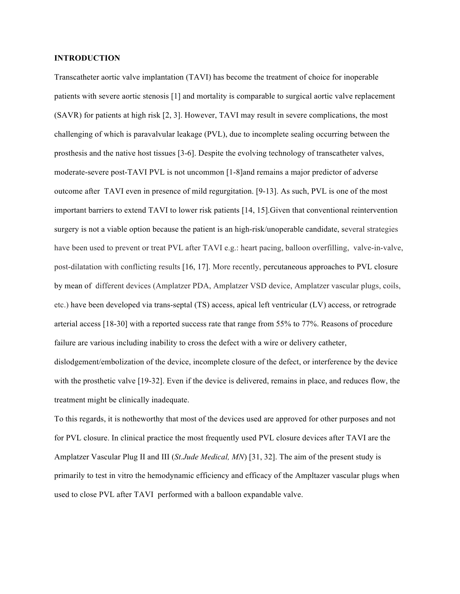## **INTRODUCTION**

Transcatheter aortic valve implantation (TAVI) has become the treatment of choice for inoperable patients with severe aortic stenosis [1] and mortality is comparable to surgical aortic valve replacement (SAVR) for patients at high risk [2, 3]. However, TAVI may result in severe complications, the most challenging of which is paravalvular leakage (PVL), due to incomplete sealing occurring between the prosthesis and the native host tissues [3-6]. Despite the evolving technology of transcatheter valves, moderate-severe post-TAVI PVL is not uncommon [1-8]and remains a major predictor of adverse outcome after TAVI even in presence of mild regurgitation. [9-13]. As such, PVL is one of the most important barriers to extend TAVI to lower risk patients [14, 15].Given that conventional reintervention surgery is not a viable option because the patient is an high-risk/unoperable candidate, several strategies have been used to prevent or treat PVL after TAVI e.g.: heart pacing, balloon overfilling, valve-in-valve, post-dilatation with conflicting results [16, 17]. More recently, percutaneous approaches to PVL closure by mean of different devices (Amplatzer PDA, Amplatzer VSD device, Amplatzer vascular plugs, coils, etc.) have been developed via trans-septal (TS) access, apical left ventricular (LV) access, or retrograde arterial access [18-30] with a reported success rate that range from 55% to 77%. Reasons of procedure failure are various including inability to cross the defect with a wire or delivery catheter, dislodgement/embolization of the device, incomplete closure of the defect, or interference by the device with the prosthetic valve [19-32]. Even if the device is delivered, remains in place, and reduces flow, the treatment might be clinically inadequate.

To this regards, it is notheworthy that most of the devices used are approved for other purposes and not for PVL closure. In clinical practice the most frequently used PVL closure devices after TAVI are the Amplatzer Vascular Plug II and III (*St.Jude Medical, MN*) [31, 32]. The aim of the present study is primarily to test in vitro the hemodynamic efficiency and efficacy of the Ampltazer vascular plugs when used to close PVL after TAVI performed with a balloon expandable valve.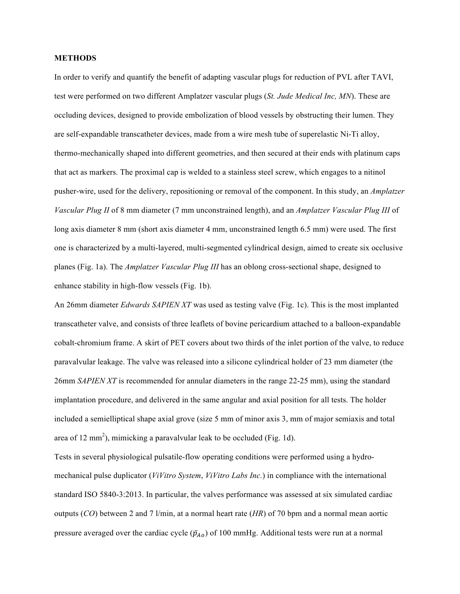## **METHODS**

In order to verify and quantify the benefit of adapting vascular plugs for reduction of PVL after TAVI, test were performed on two different Amplatzer vascular plugs (*St. Jude Medical Inc, MN*). These are occluding devices, designed to provide embolization of blood vessels by obstructing their lumen. They are self-expandable transcatheter devices, made from a wire mesh tube of superelastic Ni-Ti alloy, thermo-mechanically shaped into different geometries, and then secured at their ends with platinum caps that act as markers. The proximal cap is welded to a stainless steel screw, which engages to a nitinol pusher-wire, used for the delivery, repositioning or removal of the component. In this study, an *Amplatzer Vascular Plug II* of 8 mm diameter (7 mm unconstrained length), and an *Amplatzer Vascular Plug III* of long axis diameter 8 mm (short axis diameter 4 mm, unconstrained length 6.5 mm) were used. The first one is characterized by a multi-layered, multi-segmented cylindrical design, aimed to create six occlusive planes (Fig. 1a). The *Amplatzer Vascular Plug III* has an oblong cross-sectional shape, designed to enhance stability in high-flow vessels (Fig. 1b).

An 26mm diameter *Edwards SAPIEN XT* was used as testing valve (Fig. 1c). This is the most implanted transcatheter valve, and consists of three leaflets of bovine pericardium attached to a balloon-expandable cobalt-chromium frame. A skirt of PET covers about two thirds of the inlet portion of the valve, to reduce paravalvular leakage. The valve was released into a silicone cylindrical holder of 23 mm diameter (the 26mm *SAPIEN XT* is recommended for annular diameters in the range 22-25 mm), using the standard implantation procedure, and delivered in the same angular and axial position for all tests. The holder included a semielliptical shape axial grove (size 5 mm of minor axis 3, mm of major semiaxis and total area of  $12 \text{ mm}^2$ ), mimicking a paravalvular leak to be occluded (Fig. 1d).

Tests in several physiological pulsatile-flow operating conditions were performed using a hydromechanical pulse duplicator (*ViVitro System*, *ViVitro Labs Inc.*) in compliance with the international standard ISO 5840-3:2013. In particular, the valves performance was assessed at six simulated cardiac outputs (*CO*) between 2 and 7 l/min, at a normal heart rate (*HR*) of 70 bpm and a normal mean aortic pressure averaged over the cardiac cycle ( $\bar{p}_{A0}$ ) of 100 mmHg. Additional tests were run at a normal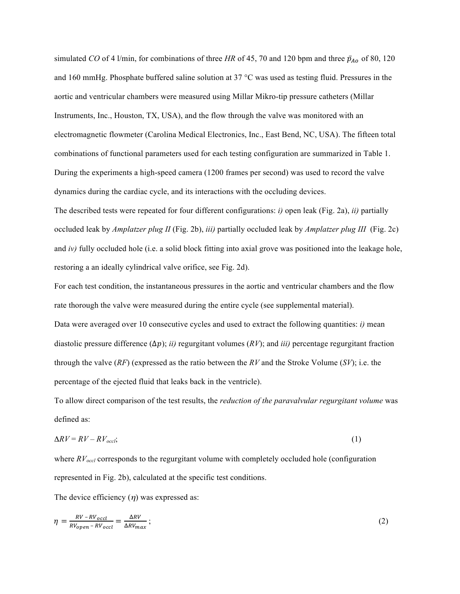simulated *CO* of 4 l/min, for combinations of three *HR* of 45, 70 and 120 bpm and three  $\bar{p}_{A0}$  of 80, 120 and 160 mmHg. Phosphate buffered saline solution at 37 °C was used as testing fluid. Pressures in the aortic and ventricular chambers were measured using Millar Mikro-tip pressure catheters (Millar Instruments, Inc., Houston, TX, USA), and the flow through the valve was monitored with an electromagnetic flowmeter (Carolina Medical Electronics, Inc., East Bend, NC, USA). The fifteen total combinations of functional parameters used for each testing configuration are summarized in Table 1. During the experiments a high-speed camera (1200 frames per second) was used to record the valve dynamics during the cardiac cycle, and its interactions with the occluding devices.

The described tests were repeated for four different configurations: *i)* open leak (Fig. 2a), *ii)* partially occluded leak by *Amplatzer plug II* (Fig. 2b), *iii)* partially occluded leak by *Amplatzer plug III* (Fig. 2c) and *iv)* fully occluded hole (i.e. a solid block fitting into axial grove was positioned into the leakage hole, restoring a an ideally cylindrical valve orifice, see Fig. 2d).

For each test condition, the instantaneous pressures in the aortic and ventricular chambers and the flow rate thorough the valve were measured during the entire cycle (see supplemental material). Data were averaged over 10 consecutive cycles and used to extract the following quantities: *i)* mean diastolic pressure difference  $(\Delta p)$ ; *ii)* regurgitant volumes  $(RV)$ ; and *iii)* percentage regurgitant fraction through the valve (*RF*) (expressed as the ratio between the *RV* and the Stroke Volume (*SV*); i.e. the percentage of the ejected fluid that leaks back in the ventricle).

To allow direct comparison of the test results, the *reduction of the paravalvular regurgitant volume* was defined as:

$$
\Delta RV = RV - RV_{occl};\tag{1}
$$

where  $RV_{occl}$  corresponds to the regurgitant volume with completely occluded hole (configuration represented in Fig. 2b), calculated at the specific test conditions.

The device efficiency  $(\eta)$  was expressed as:

$$
\eta = \frac{RV - RV_{occl}}{RV_{open} - RV_{occl}} = \frac{\Delta RV}{\Delta RV_{max}};
$$
\n(2)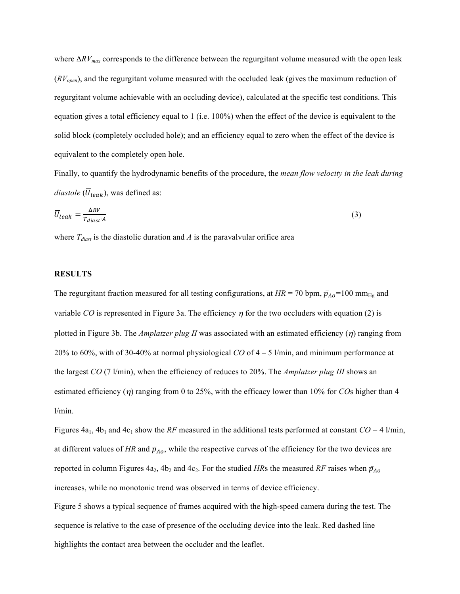where Δ*RVmax* corresponds to the difference between the regurgitant volume measured with the open leak (*RVopen*), and the regurgitant volume measured with the occluded leak (gives the maximum reduction of regurgitant volume achievable with an occluding device), calculated at the specific test conditions. This equation gives a total efficiency equal to 1 (i.e. 100%) when the effect of the device is equivalent to the solid block (completely occluded hole); and an efficiency equal to zero when the effect of the device is equivalent to the completely open hole.

Finally, to quantify the hydrodynamic benefits of the procedure, the *mean flow velocity in the leak during diastole* ( $\overline{U}_{leak}$ ), was defined as:

$$
\overline{U}_{leak} = \frac{\Delta RV}{T_{diast} A} \tag{3}
$$

where  $T_{diast}$  is the diastolic duration and  $A$  is the paravalvular orifice area

# **RESULTS**

The regurgitant fraction measured for all testing configurations, at  $HR = 70$  bpm,  $\bar{p}_{A0} = 100$  mm<sub>Hg</sub> and variable *CO* is represented in Figure 3a. The efficiency  $\eta$  for the two occluders with equation (2) is plotted in Figure 3b. The *Amplatzer plug II* was associated with an estimated efficiency (η) ranging from 20% to 60%, with of 30-40% at normal physiological *CO* of 4 – 5 l/min, and minimum performance at the largest *CO* (7 l/min), when the efficiency of reduces to 20%. The *Amplatzer plug III* shows an estimated efficiency (η) ranging from 0 to 25%, with the efficacy lower than 10% for *CO*s higher than 4 l/min.

Figures  $4a_1$ ,  $4b_1$  and  $4c_1$  show the *RF* measured in the additional tests performed at constant  $CO = 4$  l/min, at different values of *HR* and  $\bar{p}_{A_0}$ , while the respective curves of the efficiency for the two devices are reported in column Figures 4a<sub>2</sub>, 4b<sub>2</sub> and 4c<sub>2</sub>. For the studied *HRs* the measured *RF* raises when  $\bar{p}_{Ao}$ increases, while no monotonic trend was observed in terms of device efficiency.

Figure 5 shows a typical sequence of frames acquired with the high-speed camera during the test. The sequence is relative to the case of presence of the occluding device into the leak. Red dashed line highlights the contact area between the occluder and the leaflet.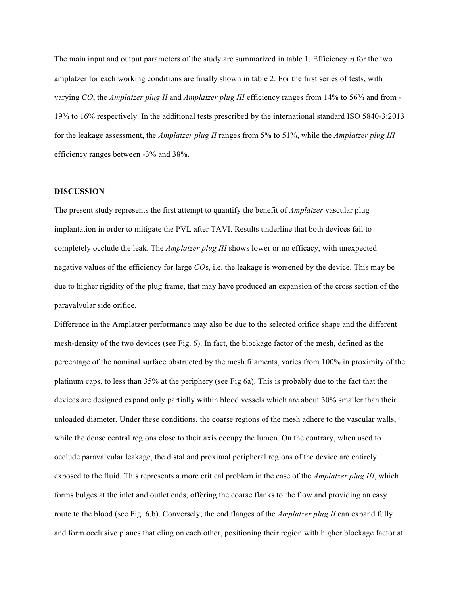The main input and output parameters of the study are summarized in table 1. Efficiency  $\eta$  for the two amplatzer for each working conditions are finally shown in table 2. For the first series of tests, with varying *CO*, the *Amplatzer plug II* and *Amplatzer plug III* efficiency ranges from 14% to 56% and from - 19% to 16% respectively. In the additional tests prescribed by the international standard ISO 5840-3:2013 for the leakage assessment, the *Amplatzer plug II* ranges from 5% to 51%, while the *Amplatzer plug III* efficiency ranges between -3% and 38%.

### **DISCUSSION**

The present study represents the first attempt to quantify the benefit of *Amplatzer* vascular plug implantation in order to mitigate the PVL after TAVI. Results underline that both devices fail to completely occlude the leak. The *Amplatzer plug III* shows lower or no efficacy, with unexpected negative values of the efficiency for large *CO*s, i.e. the leakage is worsened by the device. This may be due to higher rigidity of the plug frame, that may have produced an expansion of the cross section of the paravalvular side orifice.

Difference in the Amplatzer performance may also be due to the selected orifice shape and the different mesh-density of the two devices (see Fig. 6). In fact, the blockage factor of the mesh, defined as the percentage of the nominal surface obstructed by the mesh filaments, varies from 100% in proximity of the platinum caps, to less than 35% at the periphery (see Fig 6a). This is probably due to the fact that the devices are designed expand only partially within blood vessels which are about 30% smaller than their unloaded diameter. Under these conditions, the coarse regions of the mesh adhere to the vascular walls, while the dense central regions close to their axis occupy the lumen. On the contrary, when used to occlude paravalvular leakage, the distal and proximal peripheral regions of the device are entirely exposed to the fluid. This represents a more critical problem in the case of the *Amplatzer plug III*, which forms bulges at the inlet and outlet ends, offering the coarse flanks to the flow and providing an easy route to the blood (see Fig. 6.b). Conversely, the end flanges of the *Amplatzer plug II* can expand fully and form occlusive planes that cling on each other, positioning their region with higher blockage factor at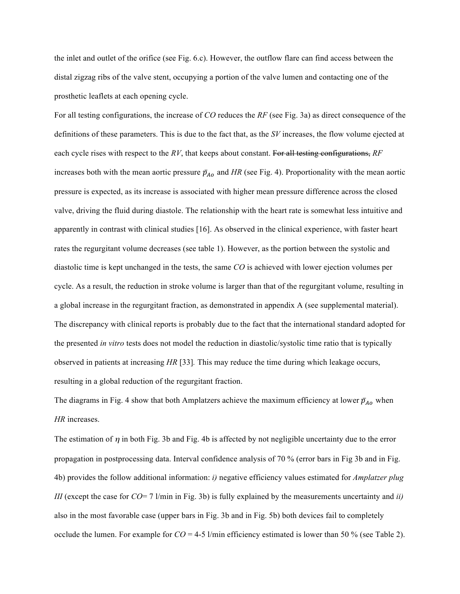the inlet and outlet of the orifice (see Fig. 6.c). However, the outflow flare can find access between the distal zigzag ribs of the valve stent, occupying a portion of the valve lumen and contacting one of the prosthetic leaflets at each opening cycle.

For all testing configurations, the increase of *CO* reduces the *RF* (see Fig. 3a) as direct consequence of the definitions of these parameters. This is due to the fact that, as the *SV* increases, the flow volume ejected at each cycle rises with respect to the  $RV$ , that keeps about constant. For all testing configurations,  $RF$ increases both with the mean aortic pressure  $\bar{p}_{A0}$  and *HR* (see Fig. 4). Proportionality with the mean aortic pressure is expected, as its increase is associated with higher mean pressure difference across the closed valve, driving the fluid during diastole. The relationship with the heart rate is somewhat less intuitive and apparently in contrast with clinical studies [16]. As observed in the clinical experience, with faster heart rates the regurgitant volume decreases (see table 1). However, as the portion between the systolic and diastolic time is kept unchanged in the tests, the same *CO* is achieved with lower ejection volumes per cycle. As a result, the reduction in stroke volume is larger than that of the regurgitant volume, resulting in a global increase in the regurgitant fraction, as demonstrated in appendix A (see supplemental material). The discrepancy with clinical reports is probably due to the fact that the international standard adopted for the presented *in vitro* tests does not model the reduction in diastolic/systolic time ratio that is typically observed in patients at increasing *HR* [33]*.* This may reduce the time during which leakage occurs, resulting in a global reduction of the regurgitant fraction.

The diagrams in Fig. 4 show that both Amplatzers achieve the maximum efficiency at lower  $\bar{p}_{A0}$  when *HR* increases.

The estimation of  $\eta$  in both Fig. 3b and Fig. 4b is affected by not negligible uncertainty due to the error propagation in postprocessing data. Interval confidence analysis of 70 % (error bars in Fig 3b and in Fig. 4b) provides the follow additional information: *i)* negative efficiency values estimated for *Amplatzer plug III* (except the case for *CO*= 7 l/min in Fig. 3b) is fully explained by the measurements uncertainty and *ii)* also in the most favorable case (upper bars in Fig. 3b and in Fig. 5b) both devices fail to completely occlude the lumen. For example for  $CO = 4-5$  l/min efficiency estimated is lower than 50 % (see Table 2).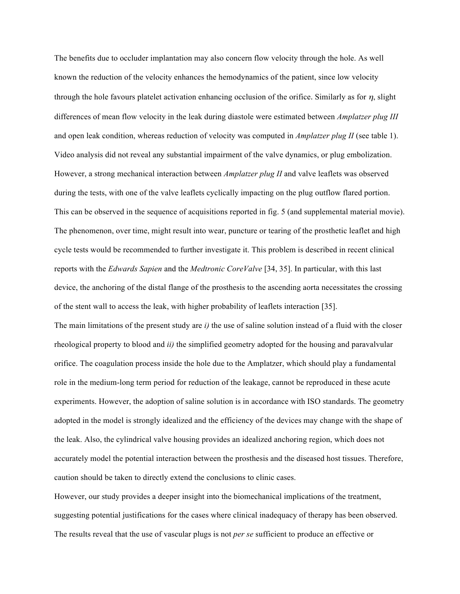The benefits due to occluder implantation may also concern flow velocity through the hole. As well known the reduction of the velocity enhances the hemodynamics of the patient, since low velocity through the hole favours platelet activation enhancing occlusion of the orifice. Similarly as for  $\eta$ , slight differences of mean flow velocity in the leak during diastole were estimated between *Amplatzer plug III* and open leak condition, whereas reduction of velocity was computed in *Amplatzer plug II* (see table 1). Video analysis did not reveal any substantial impairment of the valve dynamics, or plug embolization. However, a strong mechanical interaction between *Amplatzer plug II* and valve leaflets was observed during the tests, with one of the valve leaflets cyclically impacting on the plug outflow flared portion. This can be observed in the sequence of acquisitions reported in fig. 5 (and supplemental material movie). The phenomenon, over time, might result into wear, puncture or tearing of the prosthetic leaflet and high cycle tests would be recommended to further investigate it. This problem is described in recent clinical reports with the *Edwards Sapien* and the *Medtronic CoreValve* [34, 35]. In particular, with this last device, the anchoring of the distal flange of the prosthesis to the ascending aorta necessitates the crossing of the stent wall to access the leak, with higher probability of leaflets interaction [35]. The main limitations of the present study are *i)* the use of saline solution instead of a fluid with the closer rheological property to blood and *ii)* the simplified geometry adopted for the housing and paravalvular orifice. The coagulation process inside the hole due to the Amplatzer, which should play a fundamental role in the medium-long term period for reduction of the leakage, cannot be reproduced in these acute experiments. However, the adoption of saline solution is in accordance with ISO standards. The geometry adopted in the model is strongly idealized and the efficiency of the devices may change with the shape of the leak. Also, the cylindrical valve housing provides an idealized anchoring region, which does not accurately model the potential interaction between the prosthesis and the diseased host tissues. Therefore, caution should be taken to directly extend the conclusions to clinic cases.

However, our study provides a deeper insight into the biomechanical implications of the treatment, suggesting potential justifications for the cases where clinical inadequacy of therapy has been observed. The results reveal that the use of vascular plugs is not *per se* sufficient to produce an effective or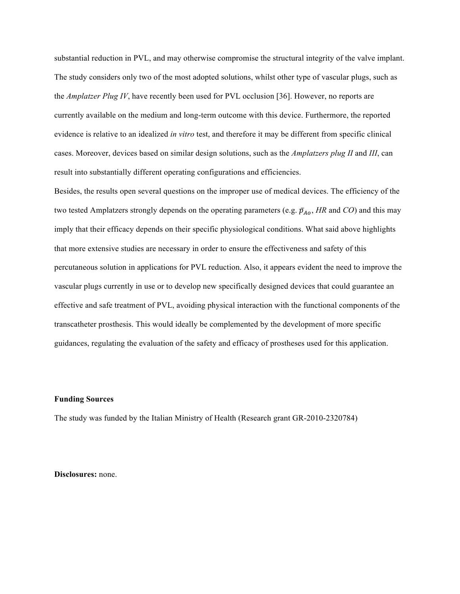substantial reduction in PVL, and may otherwise compromise the structural integrity of the valve implant. The study considers only two of the most adopted solutions, whilst other type of vascular plugs, such as the *Amplatzer Plug IV*, have recently been used for PVL occlusion [36]. However, no reports are currently available on the medium and long-term outcome with this device. Furthermore, the reported evidence is relative to an idealized *in vitro* test, and therefore it may be different from specific clinical cases. Moreover, devices based on similar design solutions, such as the *Amplatzers plug II* and *III*, can result into substantially different operating configurations and efficiencies.

Besides, the results open several questions on the improper use of medical devices. The efficiency of the two tested Amplatzers strongly depends on the operating parameters (e.g.  $\bar{p}_{A0}$ , HR and *CO*) and this may imply that their efficacy depends on their specific physiological conditions. What said above highlights that more extensive studies are necessary in order to ensure the effectiveness and safety of this percutaneous solution in applications for PVL reduction. Also, it appears evident the need to improve the vascular plugs currently in use or to develop new specifically designed devices that could guarantee an effective and safe treatment of PVL, avoiding physical interaction with the functional components of the transcatheter prosthesis. This would ideally be complemented by the development of more specific guidances, regulating the evaluation of the safety and efficacy of prostheses used for this application.

#### **Funding Sources**

The study was funded by the Italian Ministry of Health (Research grant GR-2010-2320784)

**Disclosures:** none.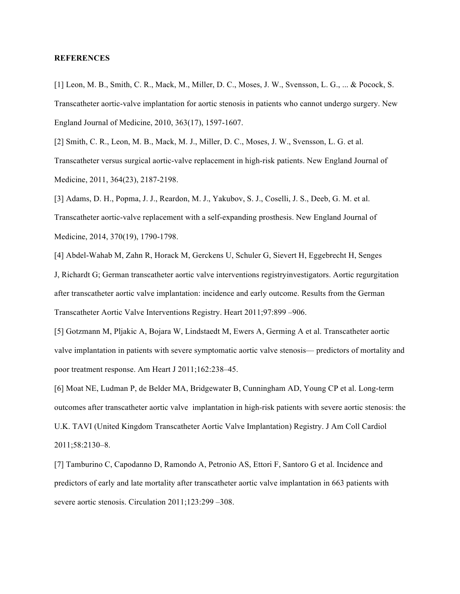## **REFERENCES**

[1] Leon, M. B., Smith, C. R., Mack, M., Miller, D. C., Moses, J. W., Svensson, L. G., ... & Pocock, S. Transcatheter aortic-valve implantation for aortic stenosis in patients who cannot undergo surgery. New England Journal of Medicine, 2010, 363(17), 1597-1607.

[2] Smith, C. R., Leon, M. B., Mack, M. J., Miller, D. C., Moses, J. W., Svensson, L. G. et al. Transcatheter versus surgical aortic-valve replacement in high-risk patients. New England Journal of Medicine, 2011, 364(23), 2187-2198.

[3] Adams, D. H., Popma, J. J., Reardon, M. J., Yakubov, S. J., Coselli, J. S., Deeb, G. M. et al. Transcatheter aortic-valve replacement with a self-expanding prosthesis. New England Journal of Medicine, 2014, 370(19), 1790-1798.

[4] Abdel-Wahab M, Zahn R, Horack M, Gerckens U, Schuler G, Sievert H, Eggebrecht H, Senges J, Richardt G; German transcatheter aortic valve interventions registryinvestigators. Aortic regurgitation after transcatheter aortic valve implantation: incidence and early outcome. Results from the German Transcatheter Aortic Valve Interventions Registry. Heart 2011;97:899 –906.

[5] Gotzmann M, Pljakic A, Bojara W, Lindstaedt M, Ewers A, Germing A et al. Transcatheter aortic valve implantation in patients with severe symptomatic aortic valve stenosis— predictors of mortality and poor treatment response. Am Heart J 2011;162:238–45.

[6] Moat NE, Ludman P, de Belder MA, Bridgewater B, Cunningham AD, Young CP et al. Long-term outcomes after transcatheter aortic valve implantation in high-risk patients with severe aortic stenosis: the U.K. TAVI (United Kingdom Transcatheter Aortic Valve Implantation) Registry. J Am Coll Cardiol 2011;58:2130–8.

[7] Tamburino C, Capodanno D, Ramondo A, Petronio AS, Ettori F, Santoro G et al. Incidence and predictors of early and late mortality after transcatheter aortic valve implantation in 663 patients with severe aortic stenosis. Circulation 2011;123:299 –308.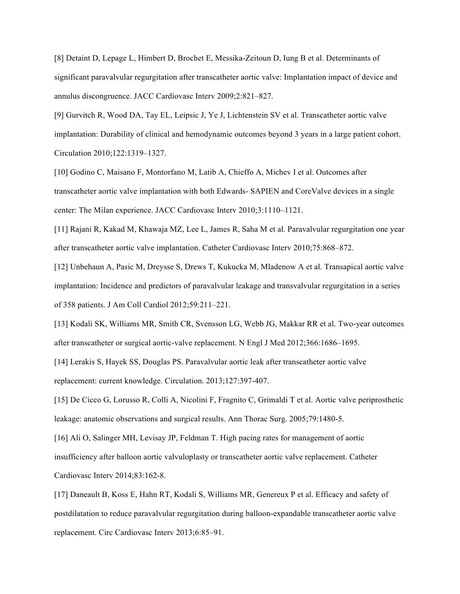[8] Detaint D, Lepage L, Himbert D, Brochet E, Messika-Zeitoun D, Iung B et al. Determinants of significant paravalvular regurgitation after transcatheter aortic valve: Implantation impact of device and annulus discongruence. JACC Cardiovasc Interv 2009;2:821–827.

[9] Gurvitch R, Wood DA, Tay EL, Leipsic J, Ye J, Lichtenstein SV et al. Transcatheter aortic valve implantation: Durability of clinical and hemodynamic outcomes beyond 3 years in a large patient cohort. Circulation 2010;122:1319–1327.

[10] Godino C, Maisano F, Montorfano M, Latib A, Chieffo A, Michev I et al. Outcomes after transcatheter aortic valve implantation with both Edwards- SAPIEN and CoreValve devices in a single center: The Milan experience. JACC Cardiovasc Interv 2010;3:1110–1121.

[11] Rajani R, Kakad M, Khawaja MZ, Lee L, James R, Saha M et al. Paravalvular regurgitation one year after transcatheter aortic valve implantation. Catheter Cardiovasc Interv 2010;75:868–872.

[12] Unbehaun A, Pasic M, Dreysse S, Drews T, Kukucka M, Mladenow A et al. Transapical aortic valve implantation: Incidence and predictors of paravalvular leakage and transvalvular regurgitation in a series of 358 patients. J Am Coll Cardiol 2012;59:211–221.

[13] Kodali SK, Williams MR, Smith CR, Svensson LG, Webb JG, Makkar RR et al. Two-year outcomes after transcatheter or surgical aortic-valve replacement. N Engl J Med 2012;366:1686–1695.

[14] Lerakis S, Hayek SS, Douglas PS. Paravalvular aortic leak after transcatheter aortic valve replacement: current knowledge. Circulation. 2013;127:397-407.

[15] De Cicco G, Lorusso R, Colli A, Nicolini F, Fragnito C, Grimaldi T et al. Aortic valve periprosthetic leakage: anatomic observations and surgical results. Ann Thorac Surg. 2005;79:1480-5.

[16] Ali O, Salinger MH, Levisay JP, Feldman T. High pacing rates for management of aortic insufficiency after balloon aortic valvuloplasty or transcatheter aortic valve replacement. Catheter Cardiovasc Interv 2014;83:162-8.

[17] Daneault B, Koss E, Hahn RT, Kodali S, Williams MR, Genereux P et al. Efficacy and safety of postdilatation to reduce paravalvular regurgitation during balloon-expandable transcatheter aortic valve replacement. Circ Cardiovasc Interv 2013;6:85–91.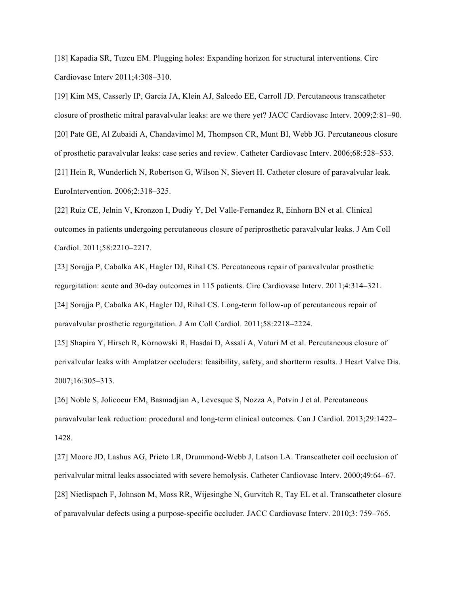[18] Kapadia SR, Tuzcu EM. Plugging holes: Expanding horizon for structural interventions. Circ Cardiovasc Interv 2011;4:308–310.

[19] Kim MS, Casserly IP, Garcia JA, Klein AJ, Salcedo EE, Carroll JD. Percutaneous transcatheter closure of prosthetic mitral paravalvular leaks: are we there yet? JACC Cardiovasc Interv. 2009;2:81–90. [20] Pate GE, Al Zubaidi A, Chandavimol M, Thompson CR, Munt BI, Webb JG. Percutaneous closure of prosthetic paravalvular leaks: case series and review. Catheter Cardiovasc Interv. 2006;68:528–533. [21] Hein R, Wunderlich N, Robertson G, Wilson N, Sievert H. Catheter closure of paravalvular leak. EuroIntervention. 2006;2:318–325.

[22] Ruiz CE, Jelnin V, Kronzon I, Dudiy Y, Del Valle-Fernandez R, Einhorn BN et al. Clinical outcomes in patients undergoing percutaneous closure of periprosthetic paravalvular leaks. J Am Coll Cardiol. 2011;58:2210–2217.

[23] Sorajja P, Cabalka AK, Hagler DJ, Rihal CS. Percutaneous repair of paravalvular prosthetic regurgitation: acute and 30-day outcomes in 115 patients. Circ Cardiovasc Interv. 2011;4:314–321. [24] Sorajja P, Cabalka AK, Hagler DJ, Rihal CS. Long-term follow-up of percutaneous repair of

paravalvular prosthetic regurgitation. J Am Coll Cardiol. 2011;58:2218–2224.

[25] Shapira Y, Hirsch R, Kornowski R, Hasdai D, Assali A, Vaturi M et al. Percutaneous closure of perivalvular leaks with Amplatzer occluders: feasibility, safety, and shortterm results. J Heart Valve Dis. 2007;16:305–313.

[26] Noble S, Jolicoeur EM, Basmadjian A, Levesque S, Nozza A, Potvin J et al. Percutaneous paravalvular leak reduction: procedural and long-term clinical outcomes. Can J Cardiol. 2013;29:1422– 1428.

[27] Moore JD, Lashus AG, Prieto LR, Drummond-Webb J, Latson LA. Transcatheter coil occlusion of perivalvular mitral leaks associated with severe hemolysis. Catheter Cardiovasc Interv. 2000;49:64–67. [28] Nietlispach F, Johnson M, Moss RR, Wijesinghe N, Gurvitch R, Tay EL et al. Transcatheter closure of paravalvular defects using a purpose-specific occluder. JACC Cardiovasc Interv. 2010;3: 759–765.